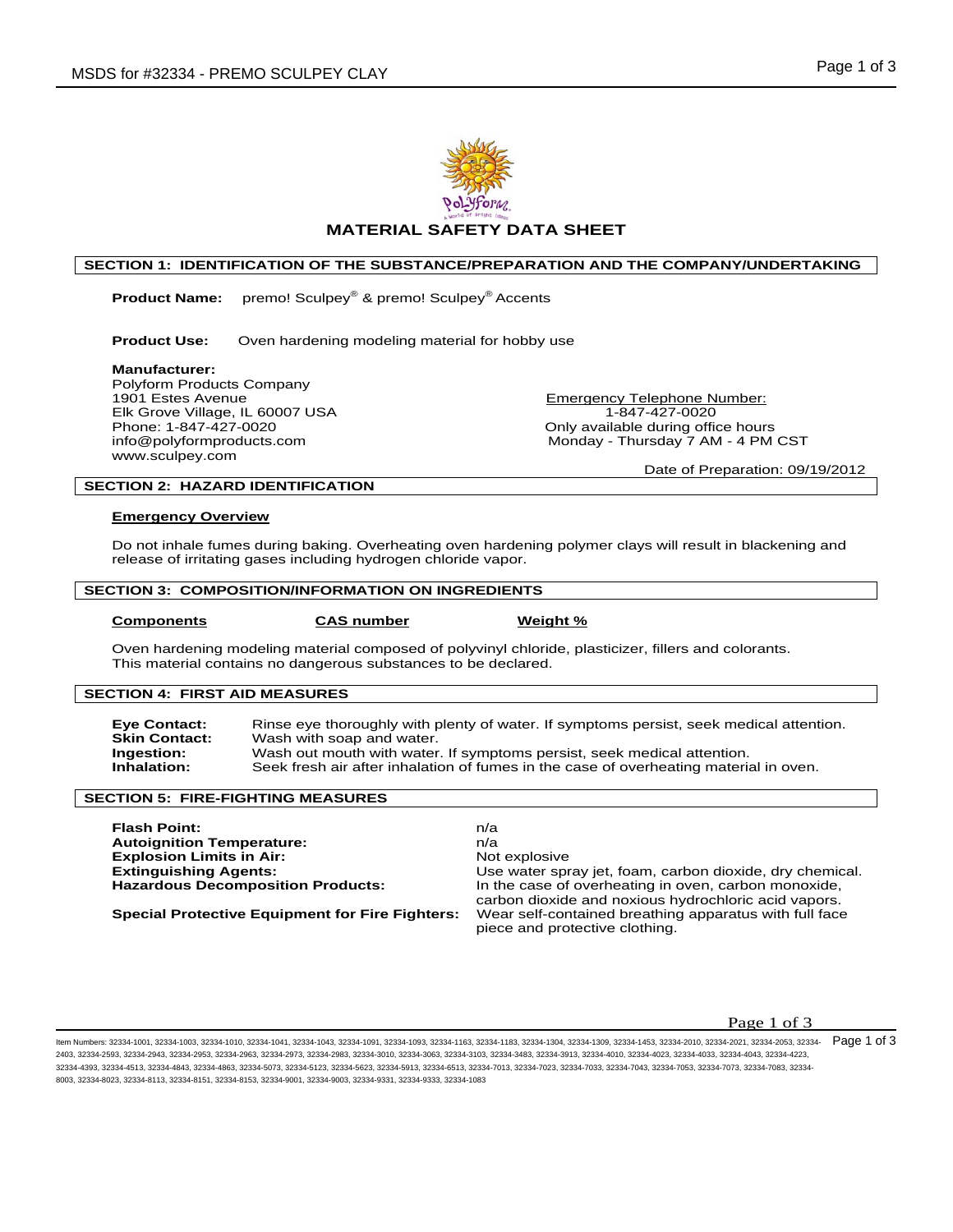



# **MATERIAL SAFETY DATA SHEET**

# **SECTION 1: IDENTIFICATION OF THE SUBSTANCE/PREPARATION AND THE COMPANY/UNDERTAKING**

 **Product Name:** premo! Sculpey® & premo! Sculpey® Accents

**Product Use:** Oven hardening modeling material for hobby use

**Manufacturer:** 

Polyform Products Company 1901 Estes Avenue **Emergency Telephone Number:** Elk Grove Village, IL 60007 USA 1-847-427-0020<br>Phone: 1-847-427-0020 1-847-427-0020 1-847-427-0020 www.sculpey.com

Only available during office hours info@polyformproducts.com Monday - Thursday 7 AM - 4 PM CST

Date of Preparation: 09/19/2012

# **SECTION 2: HAZARD IDENTIFICATION**

#### **Emergency Overview**

Do not inhale fumes during baking. Overheating oven hardening polymer clays will result in blackening and release of irritating gases including hydrogen chloride vapor.

#### **SECTION 3: COMPOSITION/INFORMATION ON INGREDIENTS**

**COMPONENTS CAS number Weight %** 

Oven hardening modeling material composed of polyvinyl chloride, plasticizer, fillers and colorants. This material contains no dangerous substances to be declared.

# **SECTION 4: FIRST AID MEASURES**

**Eye Contact:** Rinse eye thoroughly with plenty of water. If symptoms persist, seek medical attention.<br>Skin Contact: Wash with soap and water. Wash with soap and water. **Ingestion:** Wash out mouth with water. If symptoms persist, seek medical attention.<br> **Inhalation:** Seek fresh air after inhalation of fumes in the case of overheating material Seek fresh air after inhalation of fumes in the case of overheating material in oven.

## **SECTION 5: FIRE-FIGHTING MEASURES**

| <b>Flash Point:</b>                                    | n/a                                                      |
|--------------------------------------------------------|----------------------------------------------------------|
| <b>Autoignition Temperature:</b>                       | n/a                                                      |
| <b>Explosion Limits in Air:</b>                        | Not explosive                                            |
| <b>Extinguishing Agents:</b>                           | Use water spray jet, foam, carbon dioxide, dry chemical. |
| <b>Hazardous Decomposition Products:</b>               | In the case of overheating in oven, carbon monoxide,     |
|                                                        | carbon dioxide and noxious hydrochloric acid vapors.     |
| <b>Special Protective Equipment for Fire Fighters:</b> | Wear self-contained breathing apparatus with full face   |
|                                                        | piece and protective clothing.                           |

# **Page 1 of 3**

ltem Numbers: 32334-1001, 32334-1003, 32334-1010, 32334-1041, 32334-1084, 32334-1093, 32334-1163, 32334-1183, 32334-1304, 32334-1309, 32334-1453, 32334-2010, 32334-2021, 32334-2053, 32334-2053, 32334-2054, 32334-2071, 3233 2403, 32334-2593, 32334-2943, 32334-2953, 32334-2963, 32334-2973, 32334-2983, 32334-3010, 32334-3063, 32334-3103, 32334-3483, 32334-3913, 32334-4010, 32334-4023, 32334-4033, 32334-4043, 32334-4223, 32334-4393, 32334-4513, 32334-4843, 32334-4863, 32334-5073, 32334-5123, 32334-5623, 32334-5913, 32334-6513, 32334-7013, 32334-7023, 32334-7033, 32334-7043, 32334-7053, 32334-7073, 32334-7083, 32334- 8003, 32334-8023, 32334-8113, 32334-8151, 32334-8153, 32334-9001, 32334-9003, 32334-9331, 32334-9333, 32334-1083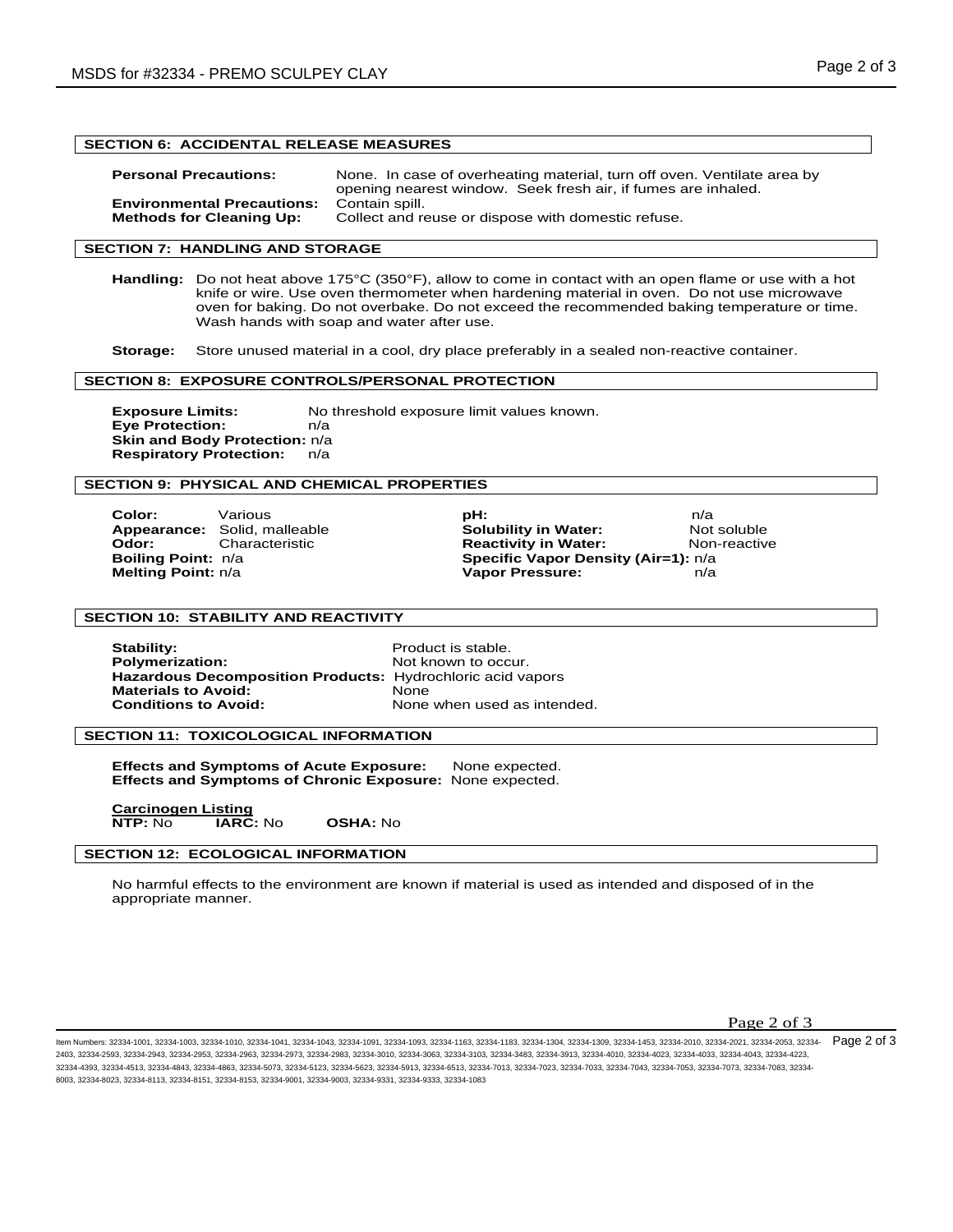# **SECTION 6: ACCIDENTAL RELEASE MEASURES**

| <b>Personal Precautions:</b>      | None. In case of overheating material, turn off oven. Ventilate area by<br>opening nearest window. Seek fresh air, if fumes are inhaled. |
|-----------------------------------|------------------------------------------------------------------------------------------------------------------------------------------|
| <b>Environmental Precautions:</b> | Contain spill.                                                                                                                           |
| <b>Methods for Cleaning Up:</b>   | Collect and reuse or dispose with domestic refuse.                                                                                       |

# **SECTION 7: HANDLING AND STORAGE**

**Handling:** Do not heat above 175°C (350°F), allow to come in contact with an open flame or use with a hot knife or wire. Use oven thermometer when hardening material in oven. Do not use microwave oven for baking. Do not overbake. Do not exceed the recommended baking temperature or time. Wash hands with soap and water after use.

**Storage:** Store unused material in a cool, dry place preferably in a sealed non-reactive container.

#### **SECTION 8: EXPOSURE CONTROLS/PERSONAL PROTECTION**

**Exposure Limits:** No threshold exposure limit values known. **Eye Protection:** n/a **Skin and Body Protection:** n/a **Respiratory Protection:** n/a

## **SECTION 9: PHYSICAL AND CHEMICAL PROPERTIES**

**Color:** Various **pH:** n/a **Appearance:** Solid, malleable **Solubility in Water:** Not soluble **Odor:** Characteristic **Reactivity in Water:** Non-reactive Reactivity in Water: **Non-reactive**<br> **Specific Vapor Density (Air=1):** n/a **Specific Vapor Density (Air=1):**  $n/a$ **Melting Point:** n/a **Vapor Pressure:** n/a

## **SECTION 10: STABILITY AND REACTIVITY**

**Stability: Product is stable. Polymerization:** Not known to occur. **Hazardous Decomposition Products:** Hydrochloric acid vapors **Materials to Avoid: Conditions to Avoid:** None when used as intended.

#### **SECTION 11: TOXICOLOGICAL INFORMATION**

**Effects and Symptoms of Acute Exposure:** None expected. **Effects and Symptoms of Chronic Exposure:** None expected.

**Carcinogen Listing NTP:** No **IARC:** No **OSHA:** No

#### **SECTION 12: ECOLOGICAL INFORMATION**

No harmful effects to the environment are known if material is used as intended and disposed of in the appropriate manner.

Page 2 of 3

ltem Numbers: 32334-1001, 32334-1003, 32334-1010, 32334-1041, 32334-1084, 32334-1093, 32334-1163, 32334-1183, 32334-1304, 32334-1309, 32334-1453, 32334-2010, 32334-2021, 32334-2053, 32334-2053, 32334-2054, 32334-2071, 3233 2403, 32334-2593, 32334-2943, 32334-2953, 32334-2963, 32334-2973, 32334-2983, 32334-3010, 32334-3063, 32334-3103, 32334-3483, 32334-3913, 32334-4010, 32334-4023, 32334-4033, 32334-4043, 32334-4223, 32334-4393, 32334-4513, 32334-4843, 32334-4863, 32334-5073, 32334-5123, 32334-5623, 32334-5913, 32334-6513, 32334-7013, 32334-7023, 32334-7033, 32334-7043, 32334-7053, 32334-7073, 32334-7083, 32334- 8003, 32334-8023, 32334-8113, 32334-8151, 32334-8153, 32334-9001, 32334-9003, 32334-9331, 32334-9333, 32334-1083